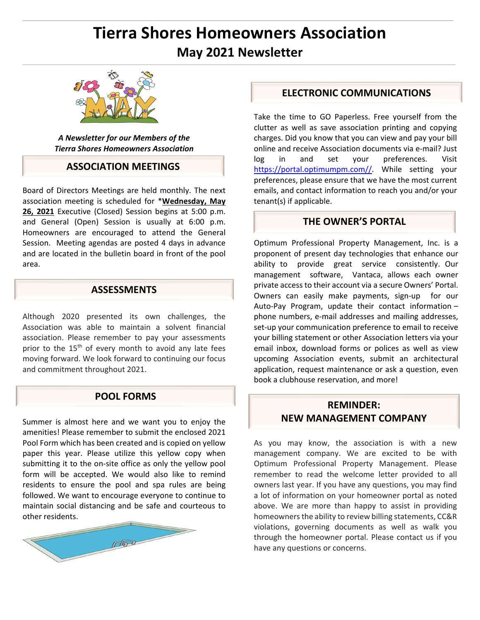# **Tierra Shores Homeowners Association May 2021 Newsletter**

 $\mathcal{L}_\text{u} = \mathcal{L}_\text{u} = \mathcal{L}_\text{u} = \mathcal{L}_\text{u} = \mathcal{L}_\text{u} = \mathcal{L}_\text{u} = \mathcal{L}_\text{u} = \mathcal{L}_\text{u} = \mathcal{L}_\text{u} = \mathcal{L}_\text{u} = \mathcal{L}_\text{u} = \mathcal{L}_\text{u} = \mathcal{L}_\text{u} = \mathcal{L}_\text{u} = \mathcal{L}_\text{u} = \mathcal{L}_\text{u} = \mathcal{L}_\text{u} = \mathcal{L}_\text{u} = \mathcal{$ 

ł.



*A Newsletter for our Members of the Tierra Shores Homeowners Association* 

#### **ASSOCIATION MEETINGS**

Board of Directors Meetings are held monthly. The next association meeting is scheduled for \***Wednesday, May 26, 2021** Executive (Closed) Session begins at 5:00 p.m. and General (Open) Session is usually at 6:00 p.m. Homeowners are encouraged to attend the General Session. Meeting agendas are posted 4 days in advance and are located in the bulletin board in front of the pool area.

## **ASSESSMENTS**

Although 2020 presented its own challenges, the Association was able to maintain a solvent financial association. Please remember to pay your assessments prior to the 15<sup>th</sup> of every month to avoid any late fees moving forward. We look forward to continuing our focus and commitment throughout 2021.

### **POOL FORMS**

Summer is almost here and we want you to enjoy the amenities! Please remember to submit the enclosed 2021 Pool Form which has been created and is copied on yellow paper this year. Please utilize this yellow copy when submitting it to the on-site office as only the yellow pool form will be accepted. We would also like to remind residents to ensure the pool and spa rules are being followed. We want to encourage everyone to continue to maintain social distancing and be safe and courteous to other residents.



### **ELECTRONIC COMMUNICATIONS**

Take the time to GO Paperless. Free yourself from the clutter as well as save association printing and copying charges. Did you know that you can view and pay your bill online and receive Association documents via e‐mail? Just log in and set your preferences. Visit https://portal.optimumpm.com//. While setting your preferences, please ensure that we have the most current emails, and contact information to reach you and/or your tenant(s) if applicable.

#### **THE OWNER'S PORTAL**

Optimum Professional Property Management, Inc. is a proponent of present day technologies that enhance our ability to provide great service consistently. Our management software, Vantaca, allows each owner private access to their account via a secure Owners' Portal. Owners can easily make payments, sign-up for our Auto‐Pay Program, update their contact information – phone numbers, e‐mail addresses and mailing addresses, set-up your communication preference to email to receive your billing statement or other Association letters via your email inbox, download forms or polices as well as view upcoming Association events, submit an architectural application, request maintenance or ask a question, even book a clubhouse reservation, and more!

## **REMINDER: NEW MANAGEMENT COMPANY**

As you may know, the association is with a new management company. We are excited to be with Optimum Professional Property Management. Please remember to read the welcome letter provided to all owners last year. If you have any questions, you may find a lot of information on your homeowner portal as noted above. We are more than happy to assist in providing homeowners the ability to review billing statements, CC&R violations, governing documents as well as walk you through the homeowner portal. Please contact us if you have any questions or concerns.